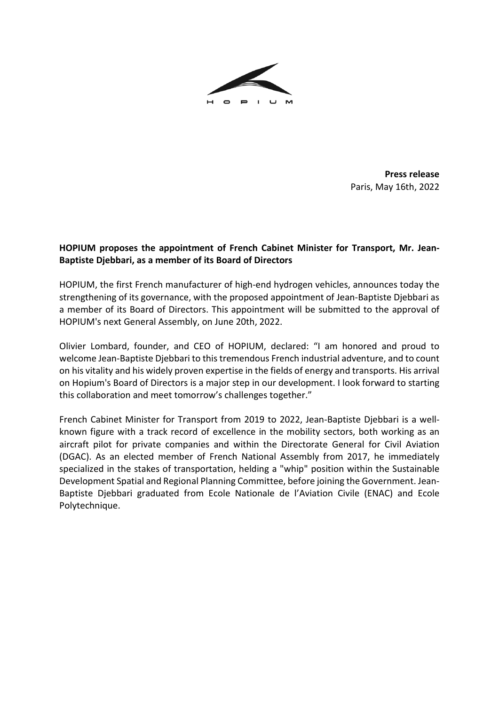

**Press release** Paris, May 16th, 2022

## **HOPIUM proposes the appointment of French Cabinet Minister for Transport, Mr. Jean-Baptiste Djebbari, as a member of its Board of Directors**

HOPIUM, the first French manufacturer of high-end hydrogen vehicles, announces today the strengthening of its governance, with the proposed appointment of Jean-Baptiste Djebbari as a member of its Board of Directors. This appointment will be submitted to the approval of HOPIUM's next General Assembly, on June 20th, 2022.

Olivier Lombard, founder, and CEO of HOPIUM, declared: "I am honored and proud to welcome Jean-Baptiste Djebbari to this tremendous French industrial adventure, and to count on his vitality and his widely proven expertise in the fields of energy and transports. His arrival on Hopium's Board of Directors is a major step in our development. I look forward to starting this collaboration and meet tomorrow's challenges together."

French Cabinet Minister for Transport from 2019 to 2022, Jean-Baptiste Djebbari is a wellknown figure with a track record of excellence in the mobility sectors, both working as an aircraft pilot for private companies and within the Directorate General for Civil Aviation (DGAC). As an elected member of French National Assembly from 2017, he immediately specialized in the stakes of transportation, helding a "whip" position within the Sustainable Development Spatial and Regional Planning Committee, before joining the Government. Jean-Baptiste Djebbari graduated from Ecole Nationale de l'Aviation Civile (ENAC) and Ecole Polytechnique.